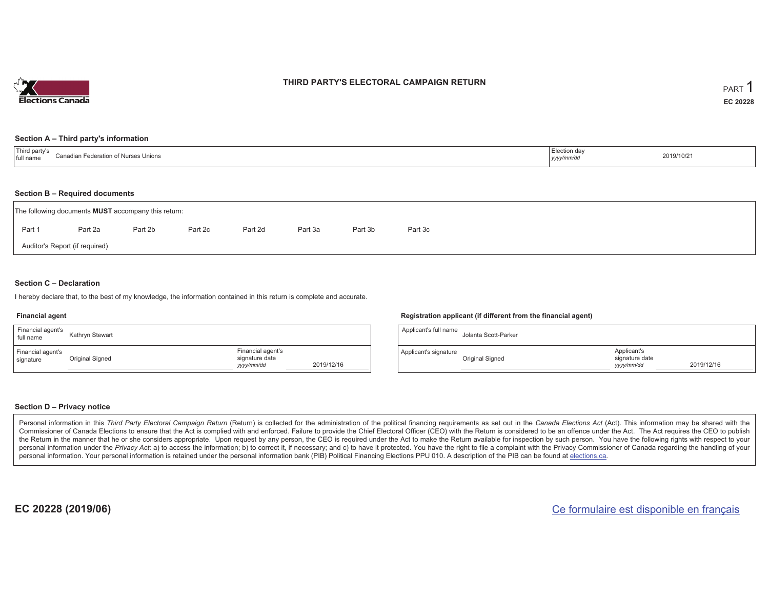

## **THIRD PARTY'S ELECTORAL CAMPAIGN RETURN**

#### **Section A – Third party's information**

| <b>Thir</b><br>n of Nurses Unions<br>≿anadian F<br>Federation<br>I full name | ection dav<br>уууулт | 2019/10/21 |
|------------------------------------------------------------------------------|----------------------|------------|
|------------------------------------------------------------------------------|----------------------|------------|

#### **Section B – Required documents**

| The following documents <b>MUST</b> accompany this return: |         |         |         |         |         |         |         |  |  |  |
|------------------------------------------------------------|---------|---------|---------|---------|---------|---------|---------|--|--|--|
| Part 1                                                     | Part 2a | Part 2b | Part 2c | Part 2d | Part 3a | Part 3b | Part 3c |  |  |  |
| Auditor's Report (if required)                             |         |         |         |         |         |         |         |  |  |  |

## **Section C – Declaration**

I hereby declare that, to the best of my knowledge, the information contained in this return is complete and accurate.

#### **Financial agent**

| Financial agent's<br>full name | Kathryn Stewart |                                                   |            |
|--------------------------------|-----------------|---------------------------------------------------|------------|
| Financial agent's<br>signature | Original Signed | Financial agent's<br>signature date<br>yyyy/mm/dd | 2019/12/16 |

### **Registration applicant (if different from the financial agent)**

| Applicant's full name | Jolanta Scott-Parker |                                             |            |
|-----------------------|----------------------|---------------------------------------------|------------|
| Applicant's signature | Original Signed      | Applicant's<br>signature date<br>yyyy/mm/dd | 2019/12/16 |

## **Section D – Privacy notice**

Personal information in this Third Party Electoral Campaign Return (Return) is collected for the administration of the political financing requirements as set out in the Canada Elections Act (Act). This information may be Commissioner of Canada Elections to ensure that the Act is complied with and enforced. Failure to provide the Chief Electoral Officer (CEO) with the Return is considered to be an offence under the Act. The Act requires the the Return in the manner that he or she considers appropriate. Upon request by any person, the CEO is required under the Act to make the Return available for inspection by such person. You have the following rights with re personal information under the Privacy Act: a) to access the information; b) to correct it, if necessary; and c) to have it protected. You have the right to file a complaint with the Privacy Commissioner of Canada regardin personal information. Your personal information is retained under the personal information bank (PIB) Political Financing Elections PPU 010. A description of the PIB can be found at elections.ca.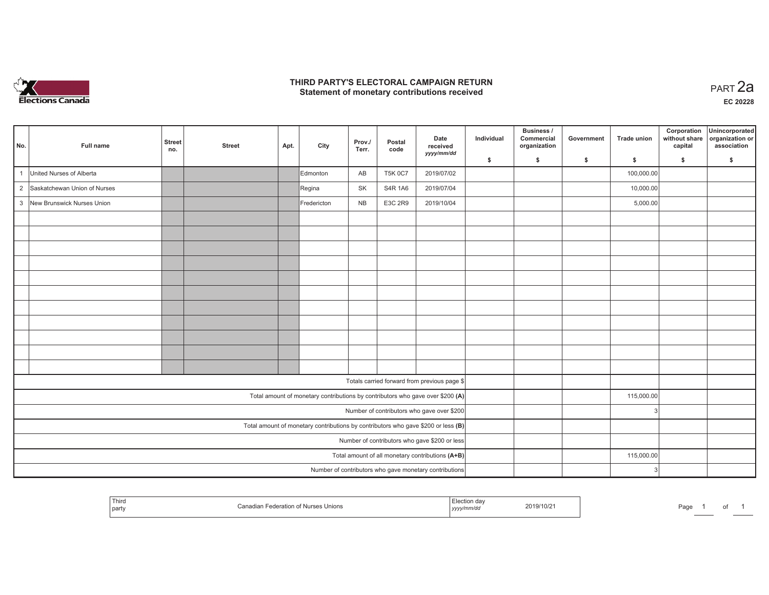

## **THIRD PARTY'S ELECTORAL CAMPAIGN RETURN HIRD PARTY'S ELECTORAL CAMPAIGN RETURN<br>Statement of monetary contributions received PART 2a**

| No.          | Full name                      | <b>Street</b><br>no. | <b>Street</b> | Apt. | City        | Prov./<br>Terr. | Postal<br>code | Date<br>received<br>yyyy/mm/dd                                                    | Individual | <b>Business /</b><br>Commercial<br>organization | Government | <b>Trade union</b> | Corporation<br>without share<br>capital | Unincorporated<br>organization or<br>association |
|--------------|--------------------------------|----------------------|---------------|------|-------------|-----------------|----------------|-----------------------------------------------------------------------------------|------------|-------------------------------------------------|------------|--------------------|-----------------------------------------|--------------------------------------------------|
|              |                                |                      |               |      |             |                 |                |                                                                                   | \$         | \$                                              | \$         | \$                 | \$                                      | \$                                               |
| $\mathbf{1}$ | United Nurses of Alberta       |                      |               |      | Edmonton    | AB              | <b>T5K 0C7</b> | 2019/07/02                                                                        |            |                                                 |            | 100,000.00         |                                         |                                                  |
|              | 2 Saskatchewan Union of Nurses |                      |               |      | Regina      | SK              | S4R 1A6        | 2019/07/04                                                                        |            |                                                 |            | 10,000.00          |                                         |                                                  |
|              | 3 New Brunswick Nurses Union   |                      |               |      | Fredericton | <b>NB</b>       | E3C 2R9        | 2019/10/04                                                                        |            |                                                 |            | 5,000.00           |                                         |                                                  |
|              |                                |                      |               |      |             |                 |                |                                                                                   |            |                                                 |            |                    |                                         |                                                  |
|              |                                |                      |               |      |             |                 |                |                                                                                   |            |                                                 |            |                    |                                         |                                                  |
|              |                                |                      |               |      |             |                 |                |                                                                                   |            |                                                 |            |                    |                                         |                                                  |
|              |                                |                      |               |      |             |                 |                |                                                                                   |            |                                                 |            |                    |                                         |                                                  |
|              |                                |                      |               |      |             |                 |                |                                                                                   |            |                                                 |            |                    |                                         |                                                  |
|              |                                |                      |               |      |             |                 |                |                                                                                   |            |                                                 |            |                    |                                         |                                                  |
|              |                                |                      |               |      |             |                 |                |                                                                                   |            |                                                 |            |                    |                                         |                                                  |
|              |                                |                      |               |      |             |                 |                |                                                                                   |            |                                                 |            |                    |                                         |                                                  |
|              |                                |                      |               |      |             |                 |                |                                                                                   |            |                                                 |            |                    |                                         |                                                  |
|              |                                |                      |               |      |             |                 |                |                                                                                   |            |                                                 |            |                    |                                         |                                                  |
|              |                                |                      |               |      |             |                 |                |                                                                                   |            |                                                 |            |                    |                                         |                                                  |
|              |                                |                      |               |      |             |                 |                | Totals carried forward from previous page \$                                      |            |                                                 |            |                    |                                         |                                                  |
|              |                                |                      |               |      |             |                 |                | Total amount of monetary contributions by contributors who gave over \$200 (A)    |            |                                                 |            | 115,000.00         |                                         |                                                  |
|              |                                |                      |               |      |             |                 |                | Number of contributors who gave over \$200                                        |            |                                                 |            | З                  |                                         |                                                  |
|              |                                |                      |               |      |             |                 |                | Total amount of monetary contributions by contributors who gave \$200 or less (B) |            |                                                 |            |                    |                                         |                                                  |
|              |                                |                      |               |      |             |                 |                | Number of contributors who gave \$200 or less                                     |            |                                                 |            |                    |                                         |                                                  |
|              |                                |                      |               |      |             |                 |                | Total amount of all monetary contributions (A+B)                                  |            |                                                 |            | 115,000.00         |                                         |                                                  |
|              |                                |                      |               |      |             |                 |                | Number of contributors who gave monetary contributions                            |            |                                                 |            |                    |                                         |                                                  |

| ' Thirc<br>party | າເດກະ | ∠019/1<br>7107<br>the contract of the contract of the contract of the contract of the contract of<br>,,,,, | .<br>-aut<br>- 91 |
|------------------|-------|------------------------------------------------------------------------------------------------------------|-------------------|
|------------------|-------|------------------------------------------------------------------------------------------------------------|-------------------|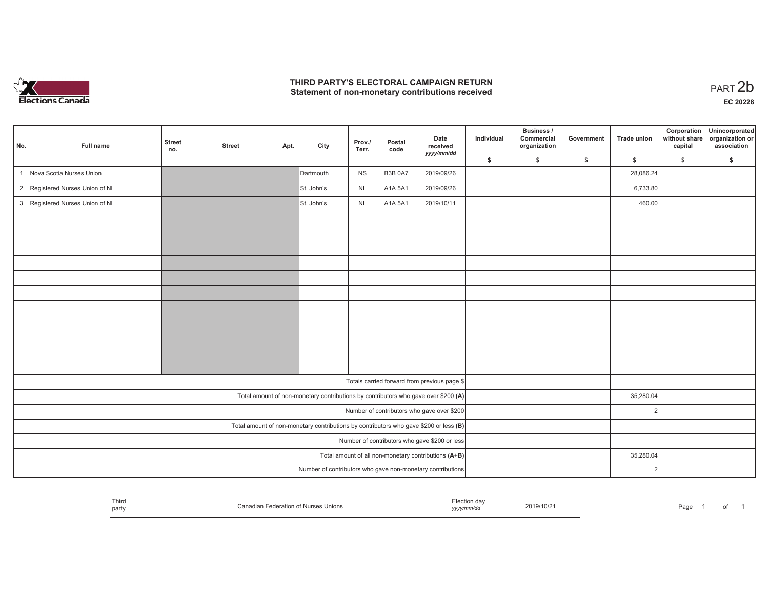

## **THIRD PARTY'S ELECTORAL CAMPAIGN RETURN**  THIRD PARTY'S ELECTORAL CAMPAIGN RETURN<br>Statement of non-monetary contributions received<br> **PART 2b**

| No. | Full name                       | <b>Street</b><br>no. | <b>Street</b> | Apt. | City       | Prov./<br>Terr. | Postal<br>code | Date<br>received<br>yyyy/mm/dd                                                        | Individual | Business /<br>Commercial<br>organization | Government | <b>Trade union</b> | Corporation<br>without share<br>capital | Unincorporated<br>organization or<br>association |
|-----|---------------------------------|----------------------|---------------|------|------------|-----------------|----------------|---------------------------------------------------------------------------------------|------------|------------------------------------------|------------|--------------------|-----------------------------------------|--------------------------------------------------|
|     |                                 |                      |               |      |            |                 |                |                                                                                       | \$         | s.                                       | \$         | S.                 | \$                                      | S.                                               |
| 1   | Nova Scotia Nurses Union        |                      |               |      | Dartmouth  | <b>NS</b>       | <b>B3B 0A7</b> | 2019/09/26                                                                            |            |                                          |            | 28,086.24          |                                         |                                                  |
|     | 2 Registered Nurses Union of NL |                      |               |      | St. John's | <b>NL</b>       | A1A 5A1        | 2019/09/26                                                                            |            |                                          |            | 6,733.80           |                                         |                                                  |
|     | 3 Registered Nurses Union of NL |                      |               |      | St. John's | NL              | A1A 5A1        | 2019/10/11                                                                            |            |                                          |            | 460.00             |                                         |                                                  |
|     |                                 |                      |               |      |            |                 |                |                                                                                       |            |                                          |            |                    |                                         |                                                  |
|     |                                 |                      |               |      |            |                 |                |                                                                                       |            |                                          |            |                    |                                         |                                                  |
|     |                                 |                      |               |      |            |                 |                |                                                                                       |            |                                          |            |                    |                                         |                                                  |
|     |                                 |                      |               |      |            |                 |                |                                                                                       |            |                                          |            |                    |                                         |                                                  |
|     |                                 |                      |               |      |            |                 |                |                                                                                       |            |                                          |            |                    |                                         |                                                  |
|     |                                 |                      |               |      |            |                 |                |                                                                                       |            |                                          |            |                    |                                         |                                                  |
|     |                                 |                      |               |      |            |                 |                |                                                                                       |            |                                          |            |                    |                                         |                                                  |
|     |                                 |                      |               |      |            |                 |                |                                                                                       |            |                                          |            |                    |                                         |                                                  |
|     |                                 |                      |               |      |            |                 |                |                                                                                       |            |                                          |            |                    |                                         |                                                  |
|     |                                 |                      |               |      |            |                 |                |                                                                                       |            |                                          |            |                    |                                         |                                                  |
|     |                                 |                      |               |      |            |                 |                |                                                                                       |            |                                          |            |                    |                                         |                                                  |
|     |                                 |                      |               |      |            |                 |                | Totals carried forward from previous page \$                                          |            |                                          |            |                    |                                         |                                                  |
|     |                                 |                      |               |      |            |                 |                | Total amount of non-monetary contributions by contributors who gave over \$200 (A)    |            |                                          |            | 35,280.04          |                                         |                                                  |
|     |                                 |                      |               |      |            |                 |                | Number of contributors who gave over \$200                                            |            |                                          |            |                    |                                         |                                                  |
|     |                                 |                      |               |      |            |                 |                | Total amount of non-monetary contributions by contributors who gave \$200 or less (B) |            |                                          |            |                    |                                         |                                                  |
|     |                                 |                      |               |      |            |                 |                | Number of contributors who gave \$200 or less                                         |            |                                          |            |                    |                                         |                                                  |
|     |                                 |                      |               |      |            |                 |                | Total amount of all non-monetary contributions (A+B)                                  |            |                                          |            | 35,280.04          |                                         |                                                  |
|     |                                 |                      |               |      |            |                 |                | Number of contributors who gave non-monetary contributions                            |            |                                          |            |                    |                                         |                                                  |

|  | Third<br>s unions<br>, party | V10/2<br>201.<br>,,,,, | 'aα€ |
|--|------------------------------|------------------------|------|
|--|------------------------------|------------------------|------|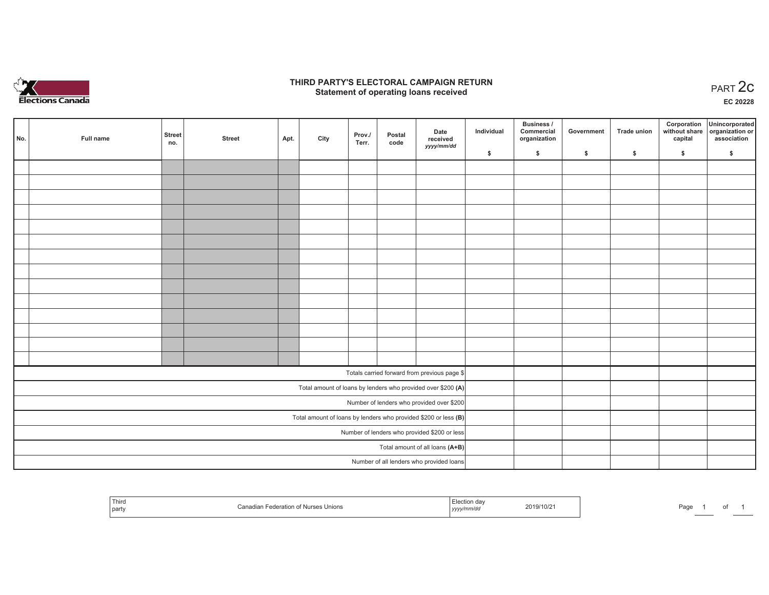

## **THIRD PARTY'S ELECTORAL CAMPAIGN RETURN STATE:** PARTY'S ELECTORAL CAMPAIGN RETURN<br>
Statement of operating loans received

**EC 20228**

| No. | Full name | <b>Street</b> | <b>Street</b> | Apt. | City | Prov./ | Postal | Date<br>received                                                  | Individual | <b>Business /</b><br>Commercial<br>organization | Government | <b>Trade union</b> | Corporation<br>capital | Unincorporated<br>without share organization or<br>association |
|-----|-----------|---------------|---------------|------|------|--------|--------|-------------------------------------------------------------------|------------|-------------------------------------------------|------------|--------------------|------------------------|----------------------------------------------------------------|
|     |           | no.           |               |      |      | Terr.  | code   | yyyy/mm/dd                                                        | \$         | \$                                              | \$         | \$                 | \$                     | \$                                                             |
|     |           |               |               |      |      |        |        |                                                                   |            |                                                 |            |                    |                        |                                                                |
|     |           |               |               |      |      |        |        |                                                                   |            |                                                 |            |                    |                        |                                                                |
|     |           |               |               |      |      |        |        |                                                                   |            |                                                 |            |                    |                        |                                                                |
|     |           |               |               |      |      |        |        |                                                                   |            |                                                 |            |                    |                        |                                                                |
|     |           |               |               |      |      |        |        |                                                                   |            |                                                 |            |                    |                        |                                                                |
|     |           |               |               |      |      |        |        |                                                                   |            |                                                 |            |                    |                        |                                                                |
|     |           |               |               |      |      |        |        |                                                                   |            |                                                 |            |                    |                        |                                                                |
|     |           |               |               |      |      |        |        |                                                                   |            |                                                 |            |                    |                        |                                                                |
|     |           |               |               |      |      |        |        |                                                                   |            |                                                 |            |                    |                        |                                                                |
|     |           |               |               |      |      |        |        |                                                                   |            |                                                 |            |                    |                        |                                                                |
|     |           |               |               |      |      |        |        |                                                                   |            |                                                 |            |                    |                        |                                                                |
|     |           |               |               |      |      |        |        |                                                                   |            |                                                 |            |                    |                        |                                                                |
|     |           |               |               |      |      |        |        |                                                                   |            |                                                 |            |                    |                        |                                                                |
|     |           |               |               |      |      |        |        |                                                                   |            |                                                 |            |                    |                        |                                                                |
|     |           |               |               |      |      |        |        | Totals carried forward from previous page \$                      |            |                                                 |            |                    |                        |                                                                |
|     |           |               |               |      |      |        |        | Total amount of loans by lenders who provided over \$200 (A)      |            |                                                 |            |                    |                        |                                                                |
|     |           |               |               |      |      |        |        | Number of lenders who provided over \$200                         |            |                                                 |            |                    |                        |                                                                |
|     |           |               |               |      |      |        |        | Total amount of loans by lenders who provided \$200 or less $(B)$ |            |                                                 |            |                    |                        |                                                                |
|     |           |               |               |      |      |        |        | Number of lenders who provided \$200 or less                      |            |                                                 |            |                    |                        |                                                                |
|     |           |               |               |      |      |        |        | Total amount of all loans (A+B)                                   |            |                                                 |            |                    |                        |                                                                |
|     |           |               |               |      |      |        |        | Number of all lenders who provided loans                          |            |                                                 |            |                    |                        |                                                                |

| Third<br>party | Canadian Federation of Nurses Unions | ua<br>.mnvuu<br>1 <i>yyyy</i> | 2019/10/21 | Page |  |  |
|----------------|--------------------------------------|-------------------------------|------------|------|--|--|
|----------------|--------------------------------------|-------------------------------|------------|------|--|--|

Page 1 of 1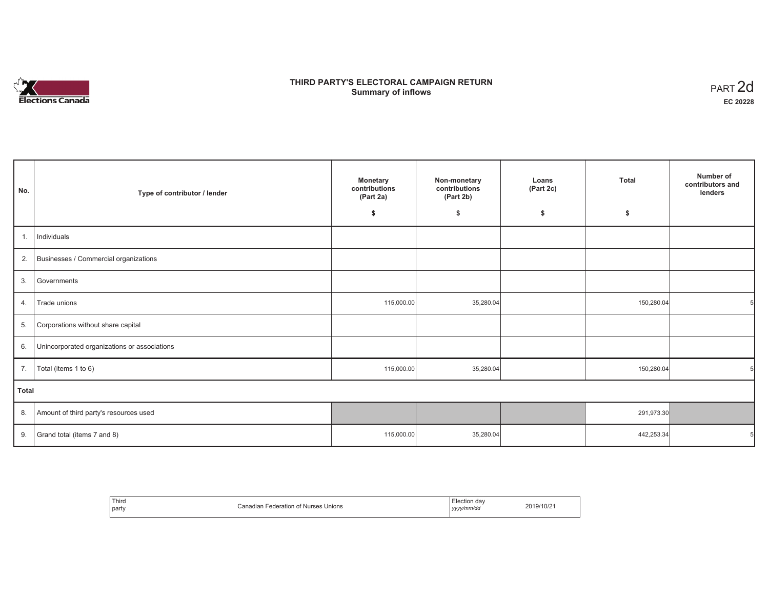# n in Elections Canada

# **THIRD PARTY'S ELECTORAL CAMPAIGN RETURN Summary of inflows**

| PART <sub>2d</sub> |
|--------------------|
| EC 20228           |

| No.          | Type of contributor / lender                 | <b>Monetary</b><br>Non-monetary<br>contributions<br>contributions<br>(Part 2b)<br>(Part 2a) |           | <b>Total</b><br>Loans<br>(Part 2c) |            | Number of<br>contributors and<br>lenders |
|--------------|----------------------------------------------|---------------------------------------------------------------------------------------------|-----------|------------------------------------|------------|------------------------------------------|
|              |                                              | \$                                                                                          | \$        | \$                                 | \$         |                                          |
| 1.           | Individuals                                  |                                                                                             |           |                                    |            |                                          |
| 2.           | Businesses / Commercial organizations        |                                                                                             |           |                                    |            |                                          |
| 3.           | Governments                                  |                                                                                             |           |                                    |            |                                          |
| 4.           | Trade unions                                 | 115,000.00                                                                                  | 35,280.04 |                                    | 150,280.04 |                                          |
| 5.           | Corporations without share capital           |                                                                                             |           |                                    |            |                                          |
| 6.           | Unincorporated organizations or associations |                                                                                             |           |                                    |            |                                          |
| 7.           | Total (items 1 to 6)                         | 115,000.00                                                                                  | 35,280.04 |                                    | 150,280.04 |                                          |
| <b>Total</b> |                                              |                                                                                             |           |                                    |            |                                          |
| 8.           | Amount of third party's resources used       |                                                                                             |           |                                    | 291,973.30 |                                          |
| 9.           | Grand total (items 7 and 8)                  | 115,000.00                                                                                  | 35,280.04 |                                    | 442,253.34 |                                          |

| Third<br>party | $-$<br>ition.<br>: Unions<br><b>Nurses</b><br>ечеганог<br>wanat | . dav<br>ction<br>.<br>vyyy/mm/da<br>,,,, | .010<br><sup>319/10</sup> ″ |
|----------------|-----------------------------------------------------------------|-------------------------------------------|-----------------------------|
|----------------|-----------------------------------------------------------------|-------------------------------------------|-----------------------------|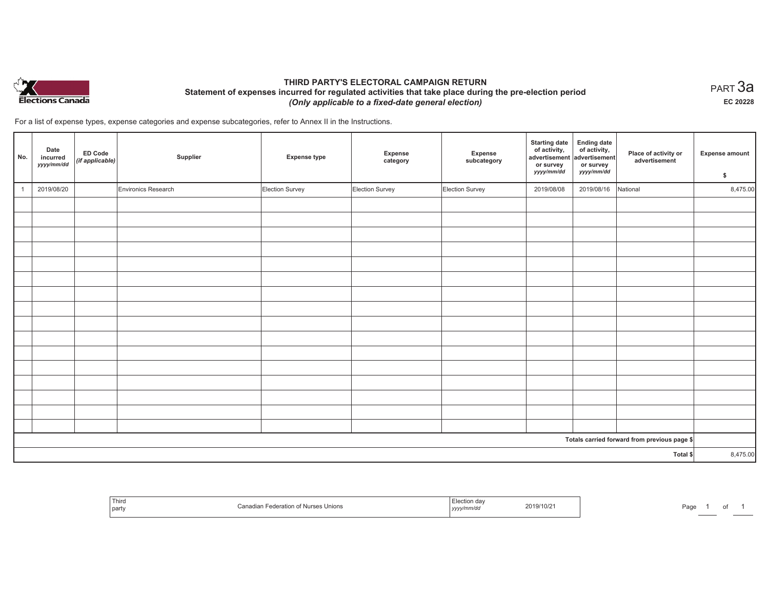

## **THIRD PARTY'S ELECTORAL CAMPAIGN RETURN Statement of expenses incurred for regulated activities that take place during the pre-election period**  *(Only applicable to a fixed-date general election)*

 $_{\sf PART}$ 3a **EC 20228**

For a list of expense types, expense categories and expense subcategories, refer to Annex II in the Instructions.

| No.          | Date<br>incurred<br>yyyy/mm/dd | ED Code<br>(if applicable) | Supplier            | <b>Expense type</b> | Expense<br>category | Expense<br>subcategory | <b>Starting date</b><br>of activity,<br>advertisement<br>or survey<br>yyyy/mm/dd | Ending date<br>  of activity,<br>advertisement<br>or survey<br>yyyy/mm/dd | Place of activity or<br>advertisement        | <b>Expense amount</b><br>\$ |
|--------------|--------------------------------|----------------------------|---------------------|---------------------|---------------------|------------------------|----------------------------------------------------------------------------------|---------------------------------------------------------------------------|----------------------------------------------|-----------------------------|
| $\mathbf{1}$ | 2019/08/20                     |                            | Environics Research | Election Survey     | Election Survey     | Election Survey        | 2019/08/08                                                                       | 2019/08/16                                                                | National                                     | 8,475.00                    |
|              |                                |                            |                     |                     |                     |                        |                                                                                  |                                                                           |                                              |                             |
|              |                                |                            |                     |                     |                     |                        |                                                                                  |                                                                           |                                              |                             |
|              |                                |                            |                     |                     |                     |                        |                                                                                  |                                                                           |                                              |                             |
|              |                                |                            |                     |                     |                     |                        |                                                                                  |                                                                           |                                              |                             |
|              |                                |                            |                     |                     |                     |                        |                                                                                  |                                                                           |                                              |                             |
|              |                                |                            |                     |                     |                     |                        |                                                                                  |                                                                           |                                              |                             |
|              |                                |                            |                     |                     |                     |                        |                                                                                  |                                                                           |                                              |                             |
|              |                                |                            |                     |                     |                     |                        |                                                                                  |                                                                           |                                              |                             |
|              |                                |                            |                     |                     |                     |                        |                                                                                  |                                                                           |                                              |                             |
|              |                                |                            |                     |                     |                     |                        |                                                                                  |                                                                           |                                              |                             |
|              |                                |                            |                     |                     |                     |                        |                                                                                  |                                                                           |                                              |                             |
|              |                                |                            |                     |                     |                     |                        |                                                                                  |                                                                           |                                              |                             |
|              |                                |                            |                     |                     |                     |                        |                                                                                  |                                                                           |                                              |                             |
|              |                                |                            |                     |                     |                     |                        |                                                                                  |                                                                           |                                              |                             |
|              |                                |                            |                     |                     |                     |                        |                                                                                  |                                                                           |                                              |                             |
|              |                                |                            |                     |                     |                     |                        |                                                                                  |                                                                           | Totals carried forward from previous page \$ |                             |
|              |                                |                            |                     |                     |                     |                        |                                                                                  |                                                                           |                                              | 8,475.00                    |
| Total \$     |                                |                            |                     |                     |                     |                        |                                                                                  |                                                                           |                                              |                             |

| <sup>1</sup> Thir<br>part | ≅Nurses Unions<br>∴anadian<br>m | 2019/10/21<br>.<br>, <i>yyyyımır</i> | Pag |
|---------------------------|---------------------------------|--------------------------------------|-----|
|---------------------------|---------------------------------|--------------------------------------|-----|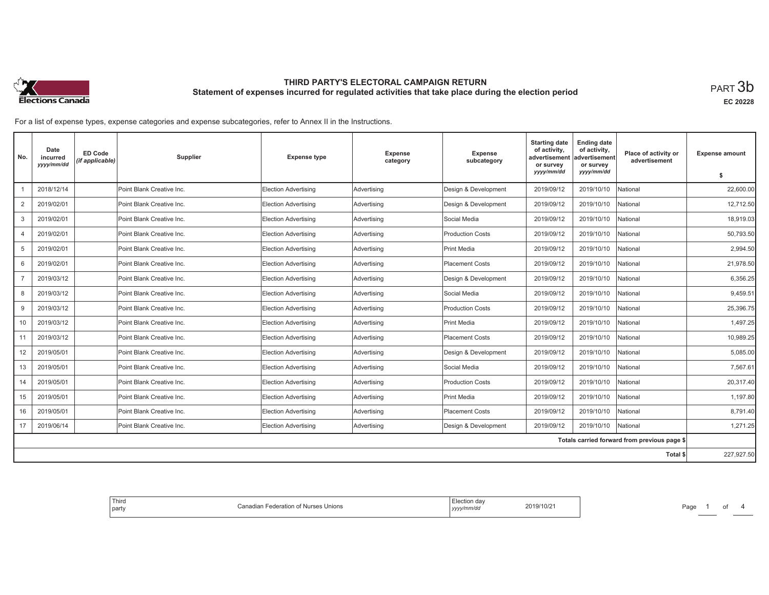

**EC 20228**

For a list of expense types, expense categories and expense subcategories, refer to Annex II in the Instructions.

| No.                                          | Date<br>incurred<br>yyyy/mm/dd | ED Code<br>(if applicable) | Supplier                  | <b>Expense type</b>         | Expense<br>category | <b>Expense</b><br>subcategory | <b>Starting date</b><br>of activity,<br>advertisement<br>or survey | <b>Ending date</b><br>of activity,<br>advertisement<br>or survey | Place of activity or<br>advertisement | <b>Expense amount</b> |
|----------------------------------------------|--------------------------------|----------------------------|---------------------------|-----------------------------|---------------------|-------------------------------|--------------------------------------------------------------------|------------------------------------------------------------------|---------------------------------------|-----------------------|
|                                              |                                |                            |                           |                             |                     |                               | yyyy/mm/dd                                                         | yyyy/mm/dd                                                       |                                       | s                     |
|                                              | 2018/12/14                     |                            | Point Blank Creative Inc. | <b>Election Advertising</b> | Advertising         | Design & Development          | 2019/09/12                                                         | 2019/10/10                                                       | National                              | 22,600.00             |
| $\overline{2}$                               | 2019/02/01                     |                            | Point Blank Creative Inc. | <b>Election Advertising</b> | Advertising         | Design & Development          | 2019/09/12                                                         | 2019/10/10                                                       | National                              | 12,712.50             |
| 3                                            | 2019/02/01                     |                            | Point Blank Creative Inc. | <b>Election Advertising</b> | Advertising         | Social Media                  | 2019/09/12                                                         | 2019/10/10                                                       | <b>Jational</b>                       | 18.919.03             |
| $\overline{4}$                               | 2019/02/01                     |                            | Point Blank Creative Inc. | <b>Election Advertising</b> | Advertising         | <b>Production Costs</b>       | 2019/09/12                                                         | 2019/10/10                                                       | National                              | 50,793.50             |
| 5                                            | 2019/02/01                     |                            | Point Blank Creative Inc. | <b>Election Advertising</b> | Advertising         | Print Media                   | 2019/09/12                                                         | 2019/10/10                                                       | National                              | 2,994.50              |
| 6                                            | 2019/02/01                     |                            | Point Blank Creative Inc. | <b>Election Advertising</b> | Advertising         | Placement Costs               | 2019/09/12                                                         | 2019/10/10                                                       | Vational                              | 21,978.50             |
| $\overline{7}$                               | 2019/03/12                     |                            | Point Blank Creative Inc. | <b>Election Advertising</b> | Advertising         | Design & Development          | 2019/09/12                                                         | 2019/10/10                                                       | National                              | 6,356.25              |
| 8                                            | 2019/03/12                     |                            | Point Blank Creative Inc. | <b>Election Advertising</b> | Advertising         | Social Media                  | 2019/09/12                                                         | 2019/10/10                                                       | National                              | 9,459.51              |
| 9                                            | 2019/03/12                     |                            | Point Blank Creative Inc. | Election Advertising        | Advertising         | <b>Production Costs</b>       | 2019/09/12                                                         | 2019/10/10                                                       | Vational                              | 25.396.75             |
| 10                                           | 2019/03/12                     |                            | Point Blank Creative Inc. | <b>Election Advertising</b> | Advertising         | Print Media                   | 2019/09/12                                                         | 2019/10/10                                                       | National                              | 1,497.25              |
| 11                                           | 2019/03/12                     |                            | Point Blank Creative Inc. | <b>Election Advertising</b> | Advertising         | Placement Costs               | 2019/09/12                                                         | 2019/10/10                                                       | National                              | 10,989.25             |
| 12                                           | 2019/05/01                     |                            | Point Blank Creative Inc. | Election Advertising        | Advertising         | Design & Development          | 2019/09/12                                                         | 2019/10/10                                                       | Vational                              | 5.085.00              |
| 13                                           | 2019/05/01                     |                            | Point Blank Creative Inc. | <b>Election Advertising</b> | Advertising         | Social Media                  | 2019/09/12                                                         | 2019/10/10                                                       | National                              | 7,567.61              |
| 14                                           | 2019/05/01                     |                            | Point Blank Creative Inc. | <b>Election Advertising</b> | Advertising         | <b>Production Costs</b>       | 2019/09/12                                                         | 2019/10/10                                                       | National                              | 20,317.40             |
| 15                                           | 2019/05/01                     |                            | Point Blank Creative Inc. | Election Advertising        | Advertising         | Print Media                   | 2019/09/12                                                         | 2019/10/10                                                       | National                              | 1.197.80              |
| 16                                           | 2019/05/01                     |                            | Point Blank Creative Inc. | <b>Election Advertising</b> | Advertising         | Placement Costs               | 2019/09/12                                                         | 2019/10/10                                                       | National                              | 8.791.40              |
| 17                                           | 2019/06/14                     |                            | Point Blank Creative Inc. | <b>Election Advertising</b> | Advertising         | Design & Development          | 2019/09/12                                                         | 2019/10/10                                                       | National                              | 1,271.25              |
| Totals carried forward from previous page \$ |                                |                            |                           |                             |                     |                               |                                                                    |                                                                  |                                       |                       |
|                                              |                                |                            |                           |                             |                     |                               |                                                                    |                                                                  | Total \$                              | 227,927.50            |

| Election dav<br>2019/10/21<br>Unions<br>Federation<br><b>Nurses</b><br>.<br>√mm/do<br>. | ' Thira<br>party |
|-----------------------------------------------------------------------------------------|------------------|
|-----------------------------------------------------------------------------------------|------------------|

Page 1 of 4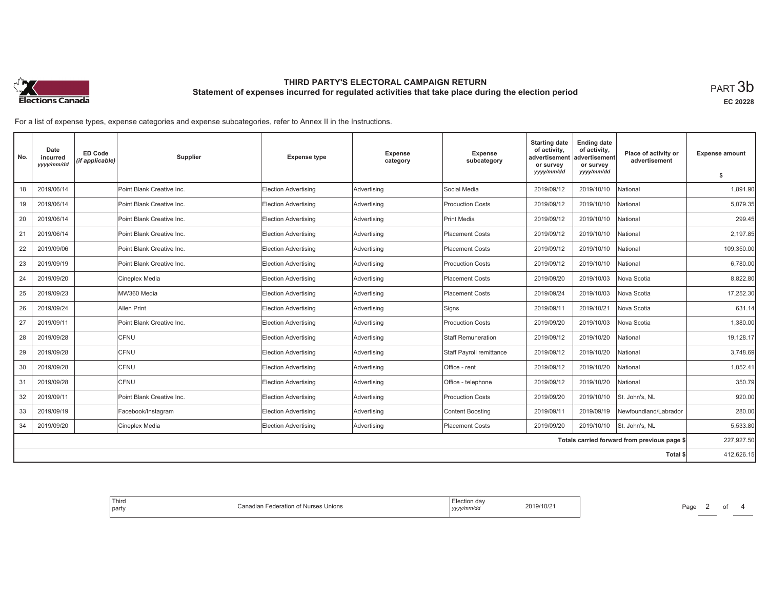

**EC 20228**

For a list of expense types, expense categories and expense subcategories, refer to Annex II in the Instructions.

| No.                                          | Date<br>incurred<br>yyyy/mm/dd | ED Code<br>(if applicable) | Supplier                  | <b>Expense type</b>         | <b>Expense</b><br>category | Expense<br>subcategory          | <b>Starting date</b><br>of activity,<br>advertisement<br>or survey | <b>Ending date</b><br>of activity,<br>advertisement<br>or survey | Place of activity or<br>advertisement | <b>Expense amount</b> |
|----------------------------------------------|--------------------------------|----------------------------|---------------------------|-----------------------------|----------------------------|---------------------------------|--------------------------------------------------------------------|------------------------------------------------------------------|---------------------------------------|-----------------------|
|                                              |                                |                            |                           |                             |                            |                                 | yyyy/mm/dd                                                         | yyyy/mm/dd                                                       |                                       | \$                    |
| 18                                           | 2019/06/14                     |                            | Point Blank Creative Inc. | <b>Election Advertising</b> | Advertising                | Social Media                    | 2019/09/12                                                         | 2019/10/10                                                       | National                              | 1,891.90              |
| 19                                           | 2019/06/14                     |                            | Point Blank Creative Inc. | <b>Election Advertising</b> | Advertising                | <b>Production Costs</b>         | 2019/09/12                                                         | 2019/10/10                                                       | National                              | 5,079.35              |
| 20                                           | 2019/06/14                     |                            | Point Blank Creative Inc. | Election Advertising        | Advertising                | <b>Print Media</b>              | 2019/09/12                                                         | 2019/10/10                                                       | Vational                              | 299.45                |
| 21                                           | 2019/06/14                     |                            | Point Blank Creative Inc. | <b>Election Advertising</b> | Advertising                | <b>Placement Costs</b>          | 2019/09/12                                                         | 2019/10/10                                                       | National                              | 2,197.85              |
| 22                                           | 2019/09/06                     |                            | Point Blank Creative Inc. | <b>Election Advertising</b> | Advertising                | <b>Placement Costs</b>          | 2019/09/12                                                         | 2019/10/10                                                       | National                              | 109,350.00            |
| 23                                           | 2019/09/19                     |                            | Point Blank Creative Inc. | Election Advertising        | Advertising                | <b>Production Costs</b>         | 2019/09/12                                                         | 2019/10/10                                                       | National                              | 6,780.00              |
| 24                                           | 2019/09/20                     |                            | Cineplex Media            | <b>Election Advertising</b> | Advertising                | <b>Placement Costs</b>          | 2019/09/20                                                         | 2019/10/03                                                       | Nova Scotia                           | 8,822.80              |
| 25                                           | 2019/09/23                     |                            | MW360 Media               | <b>Election Advertising</b> | Advertising                | <b>Placement Costs</b>          | 2019/09/24                                                         | 2019/10/03                                                       | Nova Scotia                           | 17,252.30             |
| 26                                           | 2019/09/24                     |                            | Allen Print               | Election Advertising        | Advertising                | Signs                           | 2019/09/11                                                         | 2019/10/21                                                       | Nova Scotia                           | 631.14                |
| 27                                           | 2019/09/11                     |                            | Point Blank Creative Inc. | <b>Election Advertising</b> | Advertising                | <b>Production Costs</b>         | 2019/09/20                                                         | 2019/10/03                                                       | Nova Scotia                           | 1,380.00              |
| 28                                           | 2019/09/28                     |                            | CFNU                      | <b>Election Advertising</b> | Advertising                | <b>Staff Remuneration</b>       | 2019/09/12                                                         | 2019/10/20                                                       | National                              | 19,128.17             |
| 29                                           | 2019/09/28                     |                            | <b>CFNU</b>               | Election Advertising        | Advertising                | <b>Staff Payroll remittance</b> | 2019/09/12                                                         | 2019/10/20                                                       | National                              | 3.748.69              |
| 30                                           | 2019/09/28                     |                            | CFNU                      | <b>Election Advertising</b> | Advertising                | Office - rent                   | 2019/09/12                                                         | 2019/10/20                                                       | National                              | 1,052.41              |
| 31                                           | 2019/09/28                     |                            | <b>CFNU</b>               | <b>Election Advertising</b> | Advertising                | Office - telephone              | 2019/09/12                                                         | 2019/10/20                                                       | National                              | 350.79                |
| 32                                           | 2019/09/11                     |                            | Point Blank Creative Inc. | <b>Election Advertising</b> | Advertising                | <b>Production Costs</b>         | 2019/09/20                                                         | 2019/10/10                                                       | St. John's, NL                        | 920.00                |
| 33                                           | 2019/09/19                     |                            | Facebook/Instagram        | <b>Election Advertising</b> | Advertising                | <b>Content Boosting</b>         | 2019/09/11                                                         | 2019/09/19                                                       | Newfoundland/Labrador                 | 280.00                |
| 34                                           | 2019/09/20                     |                            | Cineplex Media            | <b>Election Advertising</b> | Advertising                | <b>Placement Costs</b>          | 2019/09/20                                                         | 2019/10/10                                                       | St. John's, NL                        | 5.533.80              |
| Totals carried forward from previous page \$ |                                |                            |                           |                             |                            |                                 |                                                                    | 227,927.50                                                       |                                       |                       |
|                                              |                                |                            |                           |                             |                            |                                 |                                                                    |                                                                  | Total \$                              | 412,626.15            |

| ⊟lection dav<br>2019/10/21<br>Federation of Nurses Unions<br>Canadian:<br>, yyy/mm/dd | Third<br>! partv |
|---------------------------------------------------------------------------------------|------------------|
|---------------------------------------------------------------------------------------|------------------|

Page 2 of 4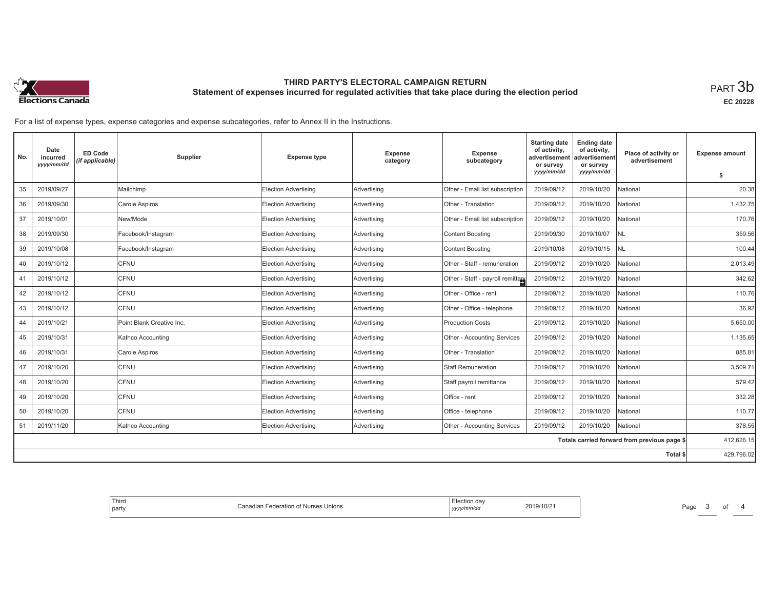

**EC 20228**

For a list of expense types, expense categories and expense subcategories, refer to Annex II in the Instructions.

| No.                                          | Date<br>incurred<br>yyyy/mm/dd | <b>ED Code</b><br>(if applicable) | Supplier                  | <b>Expense type</b>         | Expense<br>category | <b>Expense</b><br>subcategory     | <b>Starting date</b><br>of activity,<br>advertisement<br>or survey | <b>Ending date</b><br>of activity,<br>advertisement<br>or survey | Place of activity or<br>advertisement | <b>Expense amount</b> |
|----------------------------------------------|--------------------------------|-----------------------------------|---------------------------|-----------------------------|---------------------|-----------------------------------|--------------------------------------------------------------------|------------------------------------------------------------------|---------------------------------------|-----------------------|
|                                              |                                |                                   |                           |                             |                     |                                   | yyyy/mm/dd                                                         | yyyy/mm/dd                                                       |                                       | \$                    |
| 35                                           | 2019/09/27                     |                                   | Mailchimp                 | Election Advertising        | Advertising         | Other - Email list subscription   | 2019/09/12                                                         | 2019/10/20                                                       | National                              | 20.38                 |
| 36                                           | 2019/09/30                     |                                   | Carole Aspiros            | Election Advertising        | Advertising         | Other - Translation               | 2019/09/12                                                         | 2019/10/20                                                       | National                              | 1,432.75              |
| 37                                           | 2019/10/01                     |                                   | New/Mode                  | Election Advertising        | Advertising         | Other - Email list subscription   | 2019/09/12                                                         | 2019/10/20                                                       | National                              | 170.76                |
| 38                                           | 2019/09/30                     |                                   | Facebook/Instagram        | Election Advertising        | Advertising         | <b>Content Boosting</b>           | 2019/09/30                                                         | 2019/10/07                                                       | NL                                    | 359.56                |
| 39                                           | 2019/10/08                     |                                   | Facebook/Instagram        | Election Advertising        | Advertising         | <b>Content Boosting</b>           | 2019/10/08                                                         | 2019/10/15                                                       | <b>NL</b>                             | 100.44                |
| 40                                           | 2019/10/12                     |                                   | CFNU                      | Election Advertising        | Advertising         | Other - Staff - remuneration      | 2019/09/12                                                         | 2019/10/20                                                       | National                              | 2,013.49              |
| 41                                           | 2019/10/12                     |                                   | CFNU                      | Election Advertising        | Advertising         | Other - Staff - payroll remittant | 2019/09/12                                                         | 2019/10/20                                                       | <b>National</b>                       | 342.62                |
| 42                                           | 2019/10/12                     |                                   | CFNU                      | Election Advertising        | Advertising         | Other - Office - rent             | 2019/09/12                                                         | 2019/10/20                                                       | <b>National</b>                       | 110.76                |
| 43                                           | 2019/10/12                     |                                   | CFNU                      | Election Advertising        | Advertising         | Other - Office - telephone        | 2019/09/12                                                         | 2019/10/20                                                       | National                              | 36.92                 |
| 44                                           | 2019/10/21                     |                                   | Point Blank Creative Inc. | Election Advertising        | Advertising         | <b>Production Costs</b>           | 2019/09/12                                                         | 2019/10/20                                                       | <b>National</b>                       | 5,650.00              |
| 45                                           | 2019/10/31                     |                                   | Kathco Accounting         | Election Advertising        | Advertising         | Other - Accounting Services       | 2019/09/12                                                         | 2019/10/20                                                       | <b>National</b>                       | 1,135.65              |
| 46                                           | 2019/10/31                     |                                   | Carole Aspiros            | Election Advertising        | Advertising         | Other - Translation               | 2019/09/12                                                         | 2019/10/20                                                       | National                              | 885.81                |
| 47                                           | 2019/10/20                     |                                   | CFNU                      | Election Advertising        | Advertising         | <b>Staff Remuneration</b>         | 2019/09/12                                                         | 2019/10/20                                                       | National                              | 3,509.71              |
| 48                                           | 2019/10/20                     |                                   | CFNU                      | Election Advertising        | Advertising         | Staff payroll remittance          | 2019/09/12                                                         | 2019/10/20                                                       | Vational                              | 579.42                |
| 49                                           | 2019/10/20                     |                                   | CFNU                      | <b>Election Advertising</b> | Advertising         | Office - rent                     | 2019/09/12                                                         | 2019/10/20                                                       | <b>National</b>                       | 332.28                |
| 50                                           | 2019/10/20                     |                                   | CFNU                      | Election Advertising        | Advertising         | Office - telephone                | 2019/09/12                                                         | 2019/10/20                                                       | National                              | 110.77                |
| 51                                           | 2019/11/20                     |                                   | Kathco Accounting         | Election Advertising        | Advertising         | Other - Accounting Services       | 2019/09/12                                                         | 2019/10/20                                                       | National                              | 378.55                |
| Totals carried forward from previous page \$ |                                |                                   |                           |                             |                     |                                   |                                                                    | 412,626.15                                                       |                                       |                       |
|                                              |                                |                                   |                           |                             |                     |                                   |                                                                    |                                                                  | Total \$                              | 429,796.02            |

|  | . dav<br>ectior<br>$^{\circ}19/10/2$ .<br>Unions<br>า†เ∩n .<br>`′y/mm/a⊾<br>,,,,, |
|--|-----------------------------------------------------------------------------------|
|--|-----------------------------------------------------------------------------------|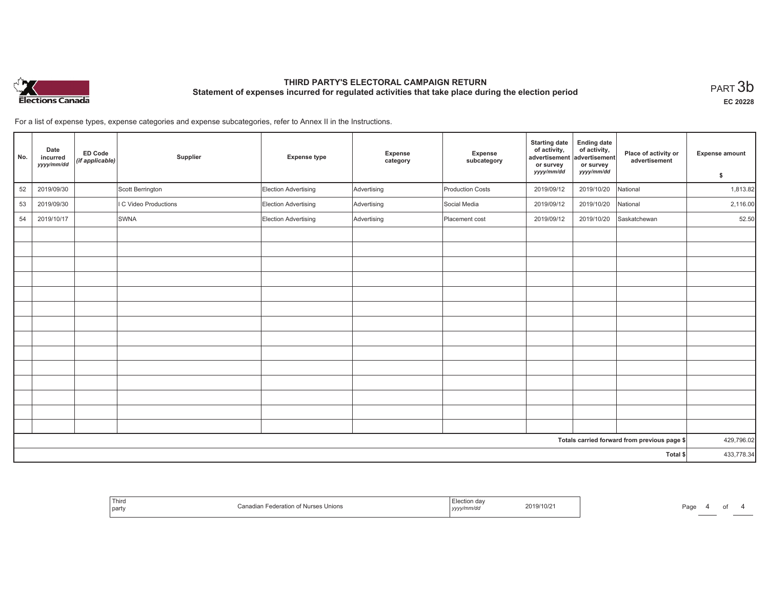

**EC 20228**

For a list of expense types, expense categories and expense subcategories, refer to Annex II in the Instructions.

| No.                                          | Date<br>incurred<br>yyyy/mm/dd | ED Code<br>(if applicable) | Supplier              | <b>Expense type</b>  | Expense<br>category | Expense<br>subcategory  | <b>Starting date</b><br>of activity,<br>advertisement<br>or survey<br>yyyy/mm/dd | <b>Ending date</b><br>of activity,<br>advertisement<br>or survey<br>yyyy/mm/dd | Place of activity or<br>advertisement | Expense amount |
|----------------------------------------------|--------------------------------|----------------------------|-----------------------|----------------------|---------------------|-------------------------|----------------------------------------------------------------------------------|--------------------------------------------------------------------------------|---------------------------------------|----------------|
|                                              |                                |                            |                       |                      |                     |                         |                                                                                  |                                                                                |                                       | \$             |
| $52\,$                                       | 2019/09/30                     |                            | Scott Berrington      | Election Advertising | Advertising         | <b>Production Costs</b> | 2019/09/12                                                                       | 2019/10/20                                                                     | National                              | 1,813.82       |
| 53                                           | 2019/09/30                     |                            | I C Video Productions | Election Advertising | Advertising         | Social Media            | 2019/09/12                                                                       | 2019/10/20                                                                     | National                              | 2,116.00       |
| 54                                           | 2019/10/17                     |                            | <b>SWNA</b>           | Election Advertising | Advertising         | Placement cost          | 2019/09/12                                                                       | 2019/10/20                                                                     | Saskatchewan                          | 52.50          |
|                                              |                                |                            |                       |                      |                     |                         |                                                                                  |                                                                                |                                       |                |
|                                              |                                |                            |                       |                      |                     |                         |                                                                                  |                                                                                |                                       |                |
|                                              |                                |                            |                       |                      |                     |                         |                                                                                  |                                                                                |                                       |                |
|                                              |                                |                            |                       |                      |                     |                         |                                                                                  |                                                                                |                                       |                |
|                                              |                                |                            |                       |                      |                     |                         |                                                                                  |                                                                                |                                       |                |
|                                              |                                |                            |                       |                      |                     |                         |                                                                                  |                                                                                |                                       |                |
|                                              |                                |                            |                       |                      |                     |                         |                                                                                  |                                                                                |                                       |                |
|                                              |                                |                            |                       |                      |                     |                         |                                                                                  |                                                                                |                                       |                |
|                                              |                                |                            |                       |                      |                     |                         |                                                                                  |                                                                                |                                       |                |
|                                              |                                |                            |                       |                      |                     |                         |                                                                                  |                                                                                |                                       |                |
|                                              |                                |                            |                       |                      |                     |                         |                                                                                  |                                                                                |                                       |                |
|                                              |                                |                            |                       |                      |                     |                         |                                                                                  |                                                                                |                                       |                |
|                                              |                                |                            |                       |                      |                     |                         |                                                                                  |                                                                                |                                       |                |
|                                              |                                |                            |                       |                      |                     |                         |                                                                                  |                                                                                |                                       |                |
| Totals carried forward from previous page \$ |                                |                            |                       |                      |                     |                         |                                                                                  | 429,796.02                                                                     |                                       |                |
|                                              |                                |                            |                       |                      |                     |                         |                                                                                  |                                                                                | Total \$                              | 433,778.34     |

| <sup>1</sup> Thirc<br>part | deration of Nurses Unions. | 2019/10/2<br>yyyy/mm/aa | Page |
|----------------------------|----------------------------|-------------------------|------|
|----------------------------|----------------------------|-------------------------|------|